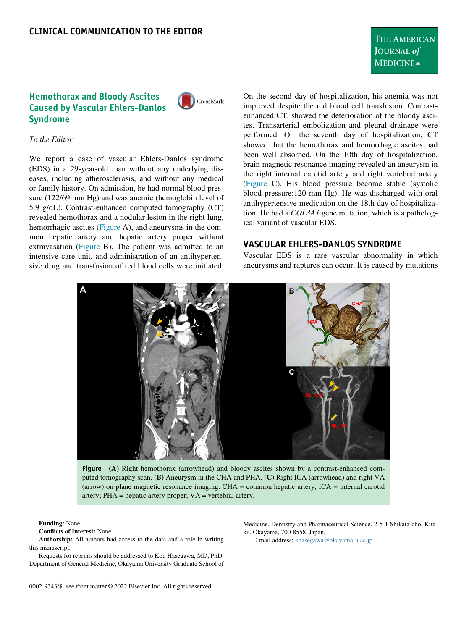# Hemothorax and Bloody Ascites Caused by Vascular Ehlers-Danlos Syndrome



### To the Editor:

We report a case of vascular Ehlers-Danlos syndrome (EDS) in a 29-year-old man without any underlying diseases, including atherosclerosis, and without any medical or family history. On admission, he had normal blood pressure (122/69 mm Hg) and was anemic (hemoglobin level of 5.9 g/dL). Contrast-enhanced computed tomography (CT) revealed hemothorax and a nodular lesion in the right lung, hemorrhagic ascites ([Figure](#page-0-0) A), and aneurysms in the common hepatic artery and hepatic artery proper without extravasation ([Figure](#page-0-0) B). The patient was admitted to an intensive care unit, and administration of an antihypertensive drug and transfusion of red blood cells were initiated.

On the second day of hospitalization, his anemia was not improved despite the red blood cell transfusion. Contrastenhanced CT, showed the deterioration of the bloody ascites. Transarterial embolization and pleural drainage were performed. On the seventh day of hospitalization, CT showed that the hemothorax and hemorrhagic ascites had been well absorbed. On the 10th day of hospitalization, brain magnetic resonance imaging revealed an aneurysm in the right internal carotid artery and right vertebral artery [\(Figure](#page-0-0) C). His blood pressure become stable (systolic blood pressure:120 mm Hg). He was discharged with oral antihypertensive medication on the 18th day of hospitalization. He had a COL3A1 gene mutation, which is a pathological variant of vascular EDS.

### VASCULAR EHLERS-DANLOS SYNDROME

Vascular EDS is a rare vascular abnormality in which aneurysms and raptures can occur. It is caused by mutations

<span id="page-0-0"></span>

Figure (A) Right hemothorax (arrowhead) and bloody ascites shown by a contrast-enhanced computed tomography scan. (B) Aneurysm in the CHA and PHA. (C) Right ICA (arrowhead) and right VA (arrow) on plane magnetic resonance imaging. CHA = common hepatic artery; ICA = internal carotid artery; PHA = hepatic artery proper; VA = vertebral artery.

#### Funding: None.

Authorship: All authors had access to the data and a role in writing this manuscript.

Requests for reprints should be addressed to Kou Hasegawa, MD, PhD, Department of General Medicine, Okayama University Graduate School of

Medicine, Dentistry and Pharmaceutical Science, 2-5-1 Shikata-cho, Kitaku, Okayama, 700-8558, Japan.

E-mail address: [khasegawa@okayama-u.ac.jp](mailto:khasegawa@okayama-u.ac.jp)

Conflicts of Interest: None.